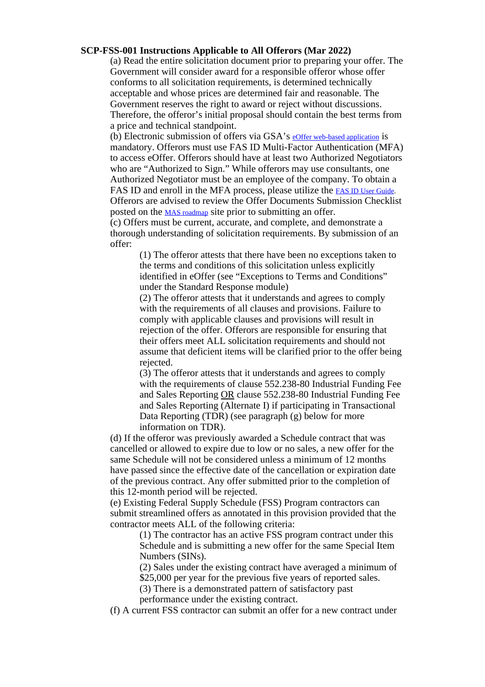## <span id="page-0-0"></span>**SCP-FSS-001 Instructions Applicable to All Offerors (Mar 2022)**

(a) Read the entire solicitation document prior to preparing your offer. The Government will consider award for a responsible offeror whose offer conforms to all solicitation requirements, is determined technically acceptable and whose prices are determined fair and reasonable. The Government reserves the right to award or reject without discussions. Therefore, the offeror's initial proposal should contain the best terms from a price and technical standpoint.

(b) Electronic submission of offers via GSA's eOffer web-based [application](https://eoffer.gsa.gov/) is mandatory. Offerors must use FAS ID Multi-Factor Authentication (MFA) to access eOffer. Offerors should have at least two Authorized Negotiators who are "Authorized to Sign." While offerors may use consultants, one Authorized Negotiator must be an employee of the company. To obtain a FAS ID and enroll in the MFA process, please utilize the FAS ID User Guide. Offerors are advised to review the Offer Documents Submission Checklist posted on the MAS [roadmap](https://www.gsa.gov/buying-selling/purchasing-programs/gsa-schedules/selling-through-schedules/roadmap-for-new-schedule-offerors/get-ready) site prior to submitting an offer.

(c) Offers must be current, accurate, and complete, and demonstrate a thorough understanding of solicitation requirements. By submission of an offer:

(1) The offeror attests that there have been no exceptions taken to the terms and conditions of this solicitation unless explicitly identified in eOffer (see "Exceptions to Terms and Conditions" under the Standard Response module)

(2) The offeror attests that it understands and agrees to comply with the requirements of all clauses and provisions. Failure to comply with applicable clauses and provisions will result in rejection of the offer. Offerors are responsible for ensuring that their offers meet ALL solicitation requirements and should not assume that deficient items will be clarified prior to the offer being rejected.

(3) The offeror attests that it understands and agrees to comply with the requirements of clause 552.238-80 Industrial Funding Fee and Sales Reporting OR clause 552.238-80 Industrial Funding Fee and Sales Reporting (Alternate I) if participating in Transactional Data Reporting (TDR) (see paragraph (g) below for more information on TDR).

(d) If the offeror was previously awarded a Schedule contract that was cancelled or allowed to expire due to low or no sales, a new offer for the same Schedule will not be considered unless a minimum of 12 months have passed since the effective date of the cancellation or expiration date of the previous contract. Any offer submitted prior to the completion of this 12-month period will be rejected.

(e) Existing Federal Supply Schedule (FSS) Program contractors can submit streamlined offers as annotated in this provision provided that the contractor meets ALL of the following criteria:

(1) The contractor has an active FSS program contract under this Schedule and is submitting a new offer for the same Special Item Numbers (SINs).

(2) Sales under the existing contract have averaged a minimum of \$25,000 per year for the previous five years of reported sales.

(3) There is a demonstrated pattern of satisfactory past

performance under the existing contract.

(f) A current FSS contractor can submit an offer for a new contract under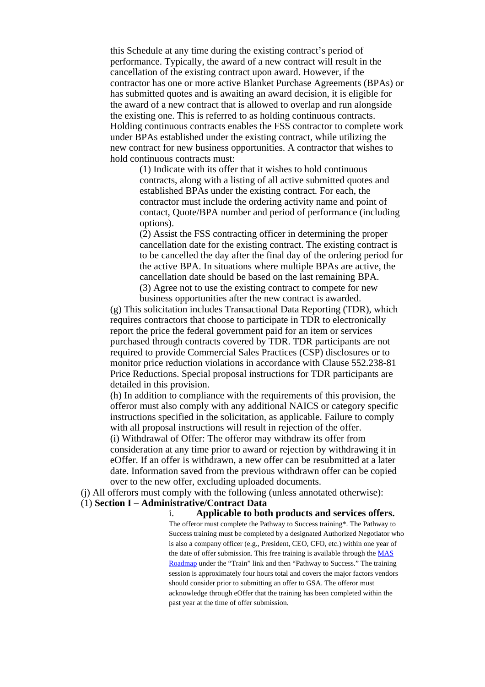this Schedule at any time during the existing contract's period of performance. Typically, the award of a new contract will result in the cancellation of the existing contract upon award. However, if the contractor has one or more active Blanket Purchase Agreements (BPAs) or has submitted quotes and is awaiting an award decision, it is eligible for the award of a new contract that is allowed to overlap and run alongside the existing one. This is referred to as holding continuous contracts. Holding continuous contracts enables the FSS contractor to complete work under BPAs established under the existing contract, while utilizing the new contract for new business opportunities. A contractor that wishes to hold continuous contracts must:

(1) Indicate with its offer that it wishes to hold continuous contracts, along with a listing of all active submitted quotes and established BPAs under the existing contract. For each, the contractor must include the ordering activity name and point of contact, Quote/BPA number and period of performance (including options).

(2) Assist the FSS contracting officer in determining the proper cancellation date for the existing contract. The existing contract is to be cancelled the day after the final day of the ordering period for the active BPA. In situations where multiple BPAs are active, the cancellation date should be based on the last remaining BPA. (3) Agree not to use the existing contract to compete for new business opportunities after the new contract is awarded.

(g) This solicitation includes Transactional Data Reporting (TDR), which requires contractors that choose to participate in TDR to electronically report the price the federal government paid for an item or services purchased through contracts covered by TDR. TDR participants are not required to provide Commercial Sales Practices (CSP) disclosures or to monitor price reduction violations in accordance with Clause 552.238-81 Price Reductions. Special proposal instructions for TDR participants are detailed in this provision.

(h) In addition to compliance with the requirements of this provision, the offeror must also comply with any additional NAICS or category specific instructions specified in the solicitation, as applicable. Failure to comply with all proposal instructions will result in rejection of the offer. (i) Withdrawal of Offer: The offeror may withdraw its offer from consideration at any time prior to award or rejection by withdrawing it in eOffer. If an offer is withdrawn, a new offer can be resubmitted at a later date. Information saved from the previous withdrawn offer can be copied over to the new offer, excluding uploaded documents.

(j) All offerors must comply with the following (unless annotated otherwise):

(1) **Section I – Administrative/Contract Data**

i. **Applicable to both products and services offers.**

The offeror must complete the Pathway to Success training\*. The Pathway to Success training must be completed by a designated Authorized Negotiator who is also a company officer (e.g., President, CEO, CFO, etc.) within one year of the date of offer submission. This free training is available through the [MAS](http://www.gsa.gov/masroadmap) [Roadmap](http://www.gsa.gov/masroadmap) under the "Train" link and then "Pathway to Success." The training session is approximately four hours total and covers the major factors vendors should consider prior to submitting an offer to GSA. The offeror must acknowledge through eOffer that the training has been completed within the past year at the time of offer submission.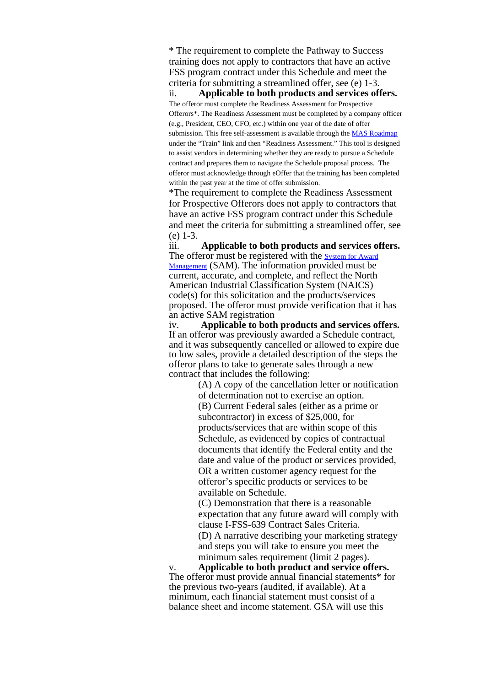\* The requirement to complete the Pathway to Success training does not apply to contractors that have an active FSS program contract under this Schedule and meet the criteria for submitting a streamlined offer, see (e) 1-3.

ii. **Applicable to both products and services offers.** The offeror must complete the Readiness Assessment for Prospective Offerors\*. The Readiness Assessment must be completed by a company officer (e.g., President, CEO, CFO, etc.) within one year of the date of offer submission. This free self-assessment is available through the MAS [Roadmap](http://www.gsa.gov/masroadmap) under the "Train" link and then "Readiness Assessment." This tool is designed to assist vendors in determining whether they are ready to pursue a Schedule contract and prepares them to navigate the Schedule proposal process. The offeror must acknowledge through eOffer that the training has been completed within the past year at the time of offer submission.

\*The requirement to complete the Readiness Assessment for Prospective Offerors does not apply to contractors that have an active FSS program contract under this Schedule and meet the criteria for submitting a streamlined offer, see

 $(e)$  1-3.<br>iii. Applicable to both products and services offers. The offeror must be registered with the [System](https://www.sam.gov/SAM/) for Award [Management](https://www.sam.gov/SAM/) (SAM). The information provided must be current, accurate, and complete, and reflect the North American Industrial Classification System (NAICS) code(s) for this solicitation and the products/services proposed. The offeror must provide verification that it has an active SAM registration

iv. **Applicable to both products and services offers.** If an offeror was previously awarded a Schedule contract, and it was subsequently cancelled or allowed to expire due to low sales, provide a detailed description of the steps the offeror plans to take to generate sales through a new contract that includes the following:

> (A) A copy of the cancellation letter or notification of determination not to exercise an option.

> (B) Current Federal sales (either as a prime or subcontractor) in excess of \$25,000, for products/services that are within scope of this Schedule, as evidenced by copies of contractual documents that identify the Federal entity and the date and value of the product or services provided, OR a written customer agency request for the offeror's specific products or services to be available on Schedule.

(C) Demonstration that there is a reasonable expectation that any future award will comply with clause I-FSS-639 Contract Sales Criteria.

(D) A narrative describing your marketing strategy and steps you will take to ensure you meet the minimum sales requirement (limit 2 pages).

Applicable to both product and service offers. The offeror must provide annual financial statements<sup>\*</sup> for the previous two-years (audited, if available). At a minimum, each financial statement must consist of a balance sheet and income statement. GSA will use this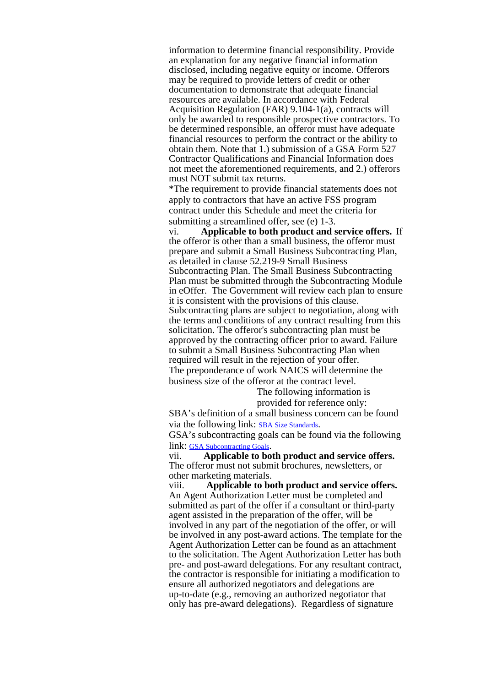information to determine financial responsibility. Provide an explanation for any negative financial information disclosed, including negative equity or income. Offerors may be required to provide letters of credit or other documentation to demonstrate that adequate financial resources are available. In accordance with Federal Acquisition Regulation (FAR) 9.104-1(a), contracts will only be awarded to responsible prospective contractors. To be determined responsible, an offeror must have adequate financial resources to perform the contract or the ability to obtain them. Note that 1.) submission of a GSA Form 527 Contractor Qualifications and Financial Information does not meet the aforementioned requirements, and 2.) offerors must NOT submit tax returns.

\*The requirement to provide financial statements does not apply to contractors that have an active FSS program contract under this Schedule and meet the criteria for submitting a streamlined offer, see (e) 1-3.

vi. **Applicable to both product and service offers.** If the offeror is other than a small business, the offeror must prepare and submit a Small Business Subcontracting Plan, as detailed in clause 52.219-9 Small Business Subcontracting Plan. The Small Business Subcontracting Plan must be submitted through the Subcontracting Module in eOffer. The Government will review each plan to ensure it is consistent with the provisions of this clause. Subcontracting plans are subject to negotiation, along with the terms and conditions of any contract resulting from this solicitation. The offeror's subcontracting plan must be approved by the contracting officer prior to award. Failure to submit a Small Business Subcontracting Plan when required will result in the rejection of your offer. The preponderance of work NAICS will determine the business size of the offeror at the contract level.

> The following information is provided for reference only:

SBA's definition of a small business concern can be found via the following link: SBA Size [Standards](https://www.sba.gov/federal-contracting/contracting-guide/size-standards).

GSA's subcontracting goals can be found via the following link: GSA [Subcontracting](https://www.sba.gov/document/support--agency-contracting-goals) Goals.

vii. **Applicable to both product and service offers.** The offeror must not submit brochures, newsletters, or other marketing materials.

viii. **Applicable to both product and service offers.** An Agent Authorization Letter must be completed and submitted as part of the offer if a consultant or third-party agent assisted in the preparation of the offer, will be involved in any part of the negotiation of the offer, or will be involved in any post-award actions. The template for the Agent Authorization Letter can be found as an attachment to the solicitation. The Agent Authorization Letter has both pre- and post-award delegations. For any resultant contract, the contractor is responsible for initiating a modification to ensure all authorized negotiators and delegations are up-to-date (e.g., removing an authorized negotiator that only has pre-award delegations). Regardless of signature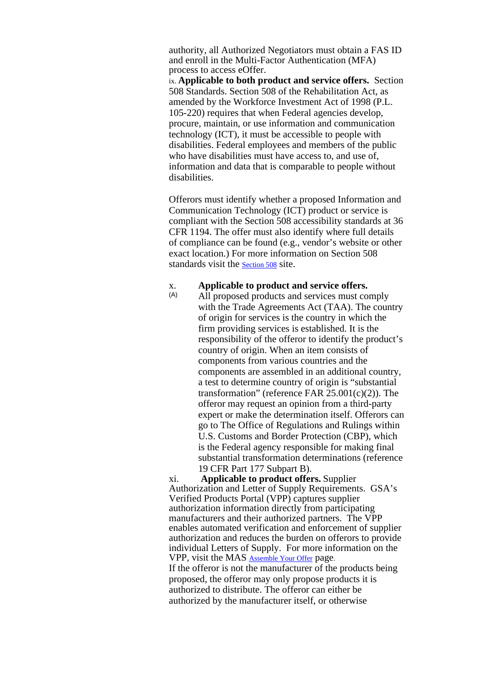authority, all Authorized Negotiators must obtain a FAS ID and enroll in the Multi-Factor Authentication (MFA) process to access eOffer.

ix. **Applicable to both product and service offers.** Section 508 Standards. Section 508 of the Rehabilitation Act, as amended by the Workforce Investment Act of 1998 (P.L. 105-220) requires that when Federal agencies develop, procure, maintain, or use information and communication technology (ICT), it must be accessible to people with disabilities. Federal employees and members of the public who have disabilities must have access to, and use of, information and data that is comparable to people without disabilities.

Offerors must identify whether a proposed Information and Communication Technology (ICT) product or service is compliant with the Section 508 accessibility standards at 36 CFR 1194. The offer must also identify where full details of compliance can be found (e.g., vendor's website or other exact location.) For more information on Section 508 standards visit the [Section](https://www.section508.gov/) 508 site.

### x. **Applicable to product and service offers.**

(A) All proposed products and services must comply with the Trade Agreements Act (TAA). The country of origin for services is the country in which the firm providing services is established. It is the responsibility of the offeror to identify the product's country of origin. When an item consists of components from various countries and the components are assembled in an additional country, a test to determine country of origin is "substantial transformation" (reference FAR  $25.001(c)(2)$ ). The offeror may request an opinion from a third-party expert or make the determination itself. Offerors can go to The Office of Regulations and Rulings within U.S. Customs and Border Protection (CBP), which is the Federal agency responsible for making final substantial transformation determinations (reference 19 CFR Part 177 Subpart B).

xi. **Applicable to product offers.** Supplier Authorization and Letter of Supply Requirements. GSA's Verified Products Portal (VPP) captures supplier authorization information directly from participating manufacturers and their authorized partners. The VPP enables automated verification and enforcement of supplier authorization and reduces the burden on offerors to provide individual Letters of Supply. For more information on the VPP, visit the MAS [Assemble](https://www.gsa.gov/buying-selling/purchasing-programs/gsa-schedule/selling-through-schedule/roadmap-for-new-schedule-offerors/assemble-your-offer#supplyletter) Your Offer page. If the offeror is not the manufacturer of the products being proposed, the offeror may only propose products it is authorized to distribute. The offeror can either be authorized by the manufacturer itself, or otherwise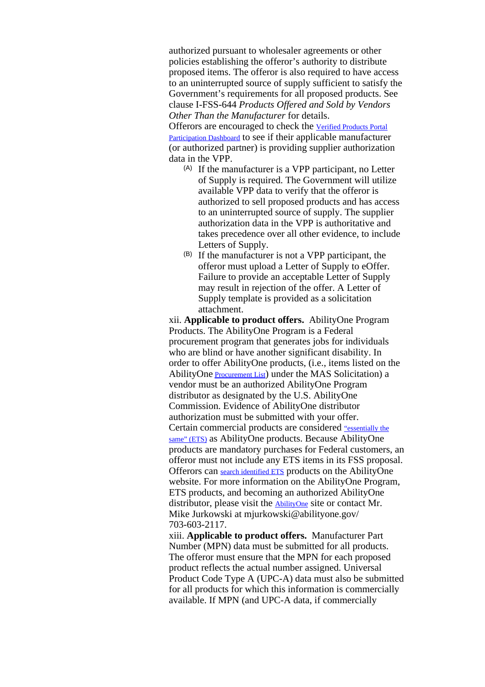authorized pursuant to wholesaler agreements or other policies establishing the offeror's authority to distribute proposed items. The offeror is also required to have access to an uninterrupted source of supply sufficient to satisfy the Government's requirements for all proposed products. See clause I-FSS-644 *Products Offered and Sold by Vendors Other Than the Manufacturer* for details.

Offerors are encouraged to check the Verified [Products](https://d2d.gsa.gov/report/verified-products-portal-participation-dashboard-public) Portal [Participation](https://d2d.gsa.gov/report/verified-products-portal-participation-dashboard-public) Dashboard to see if their applicable manufacturer (or authorized partner) is providing supplier authorization data in the VPP.

- (A) If the manufacturer is a VPP participant, no Letter of Supply is required. The Government will utilize available VPP data to verify that the offeror is authorized to sell proposed products and has access to an uninterrupted source of supply. The supplier authorization data in the VPP is authoritative and takes precedence over all other evidence, to include Letters of Supply.
- (B) If the manufacturer is not a VPP participant, the offeror must upload a Letter of Supply to eOffer. Failure to provide an acceptable Letter of Supply may result in rejection of the offer. A Letter of Supply template is provided as a solicitation attachment.

xii. **Applicable to product offers.** AbilityOne Program Products. The AbilityOne Program is a Federal procurement program that generates jobs for individuals who are blind or have another significant disability. In order to offer AbilityOne products, (i.e., items listed on the [AbilityOne](https://www.abilityone.gov/procurement_list/) Procurement List) under the MAS Solicitation) a vendor must be an authorized AbilityOne Program distributor as designated by the U.S. AbilityOne Commission. Evidence of AbilityOne distributor authorization must be submitted with your offer. Certain commercial products are considered ["essentially](#page-0-0) the [same"](#page-0-0) (ETS) as AbilityOne products. Because AbilityOne products are mandatory purchases for Federal customers, an offeror must not include any ETS items in its FSS proposal. Offerors can search [identified](https://www.abilityone.gov/distributors/independent.html) ETS products on the AbilityOne website. For more information on the AbilityOne Program, ETS products, and becoming an authorized AbilityOne distributor, please visit the [AbilityOne](https://www.abilityone.gov/) site or contact Mr. Mike Jurkowski at mjurkowski@abilityone.gov/ 703-603-2117.

xiii. **Applicable to product offers.** Manufacturer Part Number (MPN) data must be submitted for all products. The offeror must ensure that the MPN for each proposed product reflects the actual number assigned. Universal Product Code Type A (UPC-A) data must also be submitted for all products for which this information is commercially available. If MPN (and UPC-A data, if commercially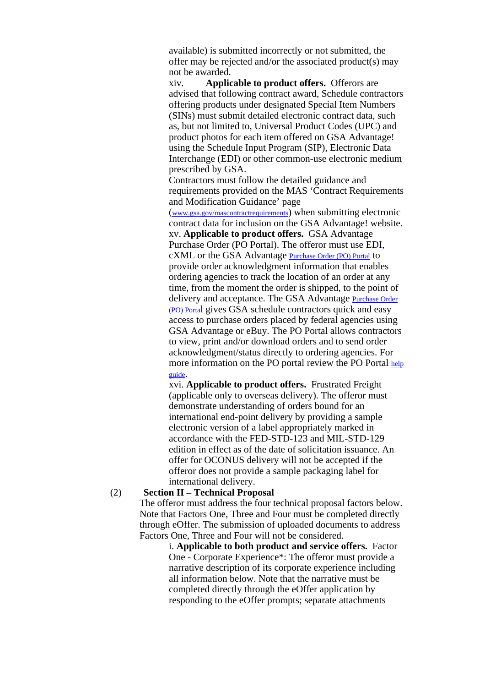available) is submitted incorrectly or not submitted, the offer may be rejected and/or the associated product(s) may not be awarded.

xiv. **Applicable to product offers.** Offerors are advised that following contract award, Schedule contractors offering products under designated Special Item Numbers (SINs) must submit detailed electronic contract data, such as, but not limited to, Universal Product Codes (UPC) and product photos for each item offered on GSA Advantage! using the Schedule Input Program (SIP), Electronic Data Interchange (EDI) or other common-use electronic medium prescribed by GSA.

Contractors must follow the detailed guidance and requirements provided on the MAS 'Contract Requirements and Modification Guidance' page

([www.gsa.gov/mascontractrequirements](http://www.gsa.gov/mascontractrequirements)) when submitting electronic contract data for inclusion on the GSA Advantage! website. xv. **Applicable to product offers.** GSA Advantage Purchase Order (PO Portal). The offeror must use EDI, cXML or the GSA Advantage [Purchase](https://www.poportal.gsa.gov/poportal/welcome.do) Order (PO) Portal to provide order acknowledgment information that enables ordering agencies to track the location of an order at any time, from the moment the order is shipped, to the point of delivery and acceptance. The GSA Advantage **[Purchase](https://www.poportal.gsa.gov/poportal/welcome.do) Order** (PO) [Porta](https://www.poportal.gsa.gov/poportal/welcome.do)l gives GSA schedule contractors quick and easy access to purchase orders placed by federal agencies using GSA Advantage or eBuy. The PO Portal allows contractors to view, print and/or download orders and to send order acknowledgment/status directly to ordering agencies. For more information on the PO portal review the PO Portal [help](#page-0-0) [guide](#page-0-0).

xvi. **Applicable to product offers.** Frustrated Freight (applicable only to overseas delivery). The offeror must demonstrate understanding of orders bound for an international end-point delivery by providing a sample electronic version of a label appropriately marked in accordance with the FED-STD-123 and MIL-STD-129 edition in effect as of the date of solicitation issuance. An offer for OCONUS delivery will not be accepted if the offeror does not provide a sample packaging label for international delivery.

#### (2) **Section II – Technical Proposal**

The offeror must address the four technical proposal factors below. Note that Factors One, Three and Four must be completed directly through eOffer. The submission of uploaded documents to address Factors One, Three and Four will not be considered.

i. **Applicable to both product and service offers.** Factor One - Corporate Experience\*: The offeror must provide a narrative description of its corporate experience including all information below. Note that the narrative must be completed directly through the eOffer application by responding to the eOffer prompts; separate attachments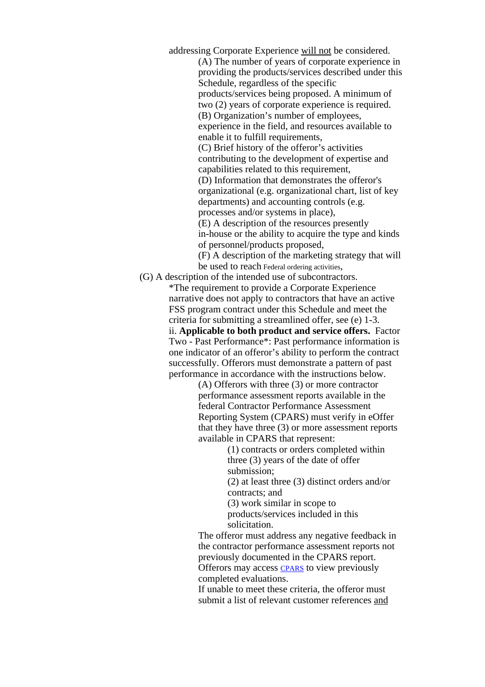addressing Corporate Experience will not be considered.

(A) The number of years of corporate experience in providing the products/services described under this Schedule, regardless of the specific products/services being proposed. A minimum of two (2) years of corporate experience is required. (B) Organization's number of employees, experience in the field, and resources available to enable it to fulfill requirements,

(C) Brief history of the offeror's activities contributing to the development of expertise and capabilities related to this requirement,

(D) Information that demonstrates the offeror's organizational (e.g. organizational chart, list of key departments) and accounting controls (e.g.

processes and/or systems in place),

(E) A description of the resources presently in-house or the ability to acquire the type and kinds of personnel/products proposed,

(F) A description of the marketing strategy that will be used to reach Federal ordering activities,

(G) A description of the intended use of subcontractors.

\*The requirement to provide a Corporate Experience narrative does not apply to contractors that have an active FSS program contract under this Schedule and meet the criteria for submitting a streamlined offer, see (e) 1-3. ii. **Applicable to both product and service offers.** Factor Two - Past Performance\*: Past performance information is one indicator of an offeror's ability to perform the contract successfully. Offerors must demonstrate a pattern of past performance in accordance with the instructions below.

> (A) Offerors with three (3) or more contractor performance assessment reports available in the federal Contractor Performance Assessment Reporting System (CPARS) must verify in eOffer that they have three (3) or more assessment reports available in CPARS that represent:

> > (1) contracts or orders completed within three (3) years of the date of offer submission;

(2) at least three (3) distinct orders and/or contracts; and

(3) work similar in scope to products/services included in this solicitation.

The offeror must address any negative feedback in the contractor performance assessment reports not previously documented in the CPARS report. Offerors may access [CPARS](https://www.cpars.gov/) to view previously completed evaluations.

If unable to meet these criteria, the offeror must submit a list of relevant customer references and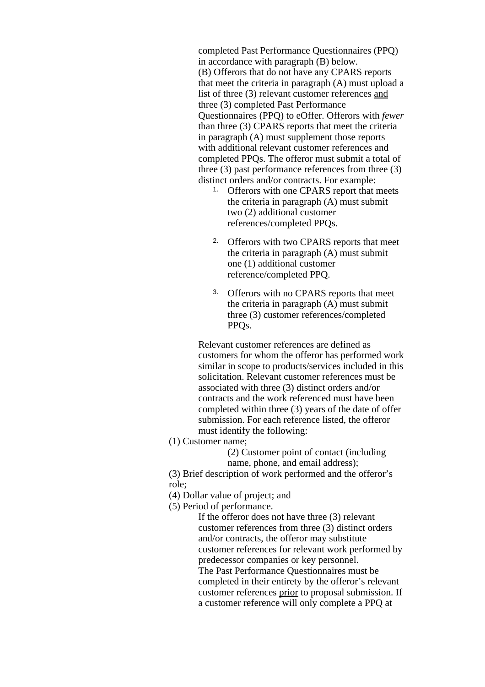completed Past Performance Questionnaires (PPQ) in accordance with paragraph (B) below. (B) Offerors that do not have any CPARS reports that meet the criteria in paragraph (A) must upload a list of three (3) relevant customer references and three (3) completed Past Performance Questionnaires (PPQ) to eOffer. Offerors with *fewer* than three (3) CPARS reports that meet the criteria in paragraph (A) must supplement those reports with additional relevant customer references and completed PPQs. The offeror must submit a total of three (3) past performance references from three (3) distinct orders and/or contracts. For example:

- 1. Offerors with one CPARS report that meets the criteria in paragraph (A) must submit two (2) additional customer references/completed PPQs.
- 2. Offerors with two CPARS reports that meet the criteria in paragraph (A) must submit one (1) additional customer reference/completed PPQ.
- 3. Offerors with no CPARS reports that meet the criteria in paragraph (A) must submit three (3) customer references/completed PPQs.

Relevant customer references are defined as customers for whom the offeror has performed work similar in scope to products/services included in this solicitation. Relevant customer references must be associated with three (3) distinct orders and/or contracts and the work referenced must have been completed within three (3) years of the date of offer submission. For each reference listed, the offeror must identify the following:

(1) Customer name;

(2) Customer point of contact (including name, phone, and email address);

(3) Brief description of work performed and the offeror's role;

(4) Dollar value of project; and

(5) Period of performance.

If the offeror does not have three (3) relevant customer references from three (3) distinct orders and/or contracts, the offeror may substitute customer references for relevant work performed by predecessor companies or key personnel. The Past Performance Questionnaires must be completed in their entirety by the offeror's relevant customer references prior to proposal submission. If a customer reference will only complete a PPQ at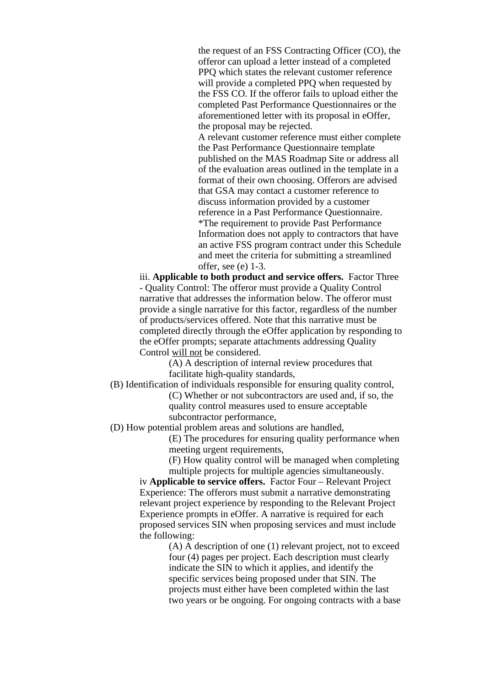the request of an FSS Contracting Officer (CO), the offeror can upload a letter instead of a completed PPQ which states the relevant customer reference will provide a completed PPQ when requested by the FSS CO. If the offeror fails to upload either the completed Past Performance Questionnaires or the aforementioned letter with its proposal in eOffer, the proposal may be rejected.

A relevant customer reference must either complete the Past Performance Questionnaire template published on the MAS Roadmap Site or address all of the evaluation areas outlined in the template in a format of their own choosing. Offerors are advised that GSA may contact a customer reference to discuss information provided by a customer reference in a Past Performance Questionnaire. \*The requirement to provide Past Performance Information does not apply to contractors that have an active FSS program contract under this Schedule and meet the criteria for submitting a streamlined offer, see (e) 1-3.

iii. **Applicable to both product and service offers.** Factor Three - Quality Control: The offeror must provide a Quality Control narrative that addresses the information below. The offeror must provide a single narrative for this factor, regardless of the number of products/services offered. Note that this narrative must be completed directly through the eOffer application by responding to the eOffer prompts; separate attachments addressing Quality Control will not be considered.

> (A) A description of internal review procedures that facilitate high-quality standards,

(B) Identification of individuals responsible for ensuring quality control, (C) Whether or not subcontractors are used and, if so, the quality control measures used to ensure acceptable subcontractor performance,

(D) How potential problem areas and solutions are handled,

(E) The procedures for ensuring quality performance when meeting urgent requirements,

(F) How quality control will be managed when completing multiple projects for multiple agencies simultaneously.

iv **Applicable to service offers.** Factor Four – Relevant Project Experience: The offerors must submit a narrative demonstrating relevant project experience by responding to the Relevant Project Experience prompts in eOffer. A narrative is required for each proposed services SIN when proposing services and must include the following:

(A) A description of one (1) relevant project, not to exceed four (4) pages per project. Each description must clearly indicate the SIN to which it applies, and identify the specific services being proposed under that SIN. The projects must either have been completed within the last two years or be ongoing. For ongoing contracts with a base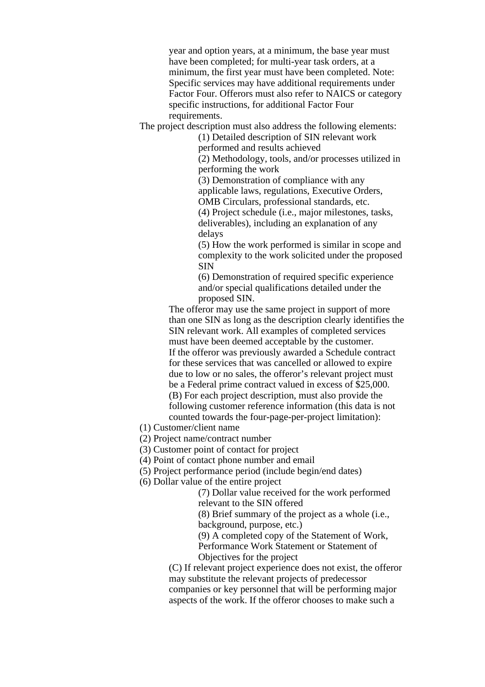year and option years, at a minimum, the base year must have been completed; for multi-year task orders, at a minimum, the first year must have been completed. Note: Specific services may have additional requirements under Factor Four. Offerors must also refer to NAICS or category specific instructions, for additional Factor Four requirements.

The project description must also address the following elements:

(1) Detailed description of SIN relevant work performed and results achieved

(2) Methodology, tools, and/or processes utilized in performing the work

(3) Demonstration of compliance with any applicable laws, regulations, Executive Orders, OMB Circulars, professional standards, etc.

(4) Project schedule (i.e., major milestones, tasks, deliverables), including an explanation of any delays

(5) How the work performed is similar in scope and complexity to the work solicited under the proposed SIN

(6) Demonstration of required specific experience and/or special qualifications detailed under the proposed SIN.

The offeror may use the same project in support of more than one SIN as long as the description clearly identifies the SIN relevant work. All examples of completed services must have been deemed acceptable by the customer. If the offeror was previously awarded a Schedule contract for these services that was cancelled or allowed to expire due to low or no sales, the offeror's relevant project must be a Federal prime contract valued in excess of \$25,000. (B) For each project description, must also provide the following customer reference information (this data is not counted towards the four-page-per-project limitation):

(1) Customer/client name

- (2) Project name/contract number
- (3) Customer point of contact for project
- (4) Point of contact phone number and email
- (5) Project performance period (include begin/end dates)
- (6) Dollar value of the entire project

(7) Dollar value received for the work performed relevant to the SIN offered

(8) Brief summary of the project as a whole (i.e., background, purpose, etc.)

(9) A completed copy of the Statement of Work, Performance Work Statement or Statement of Objectives for the project

(C) If relevant project experience does not exist, the offeror may substitute the relevant projects of predecessor companies or key personnel that will be performing major aspects of the work. If the offeror chooses to make such a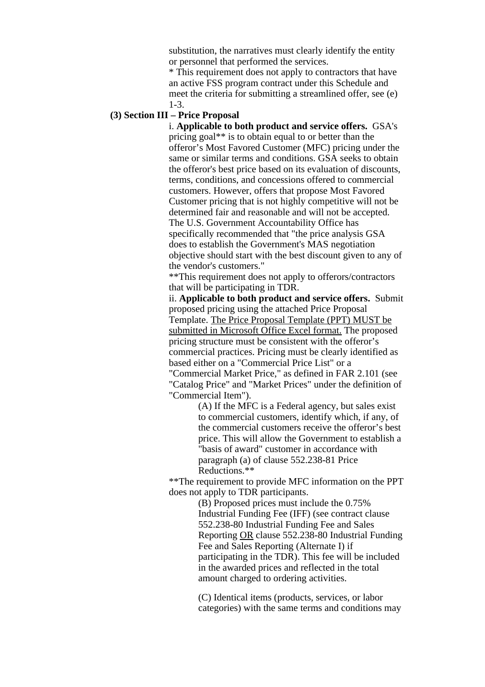substitution, the narratives must clearly identify the entity or personnel that performed the services.

\* This requirement does not apply to contractors that have an active FSS program contract under this Schedule and meet the criteria for submitting a streamlined offer, see (e) 1-3.

# **(3) Section III – Price Proposal**

i. **Applicable to both product and service offers.** GSA's pricing goal\*\* is to obtain equal to or better than the offeror's Most Favored Customer (MFC) pricing under the same or similar terms and conditions. GSA seeks to obtain the offeror's best price based on its evaluation of discounts, terms, conditions, and concessions offered to commercial customers. However, offers that propose Most Favored Customer pricing that is not highly competitive will not be determined fair and reasonable and will not be accepted. The U.S. Government Accountability Office has specifically recommended that "the price analysis GSA does to establish the Government's MAS negotiation objective should start with the best discount given to any of the vendor's customers."

\*\*This requirement does not apply to offerors/contractors that will be participating in TDR.

ii. **Applicable to both product and service offers.** Submit proposed pricing using the attached Price Proposal Template. The Price Proposal Template (PPT) MUST be submitted in Microsoft Office Excel format. The proposed pricing structure must be consistent with the offeror's commercial practices. Pricing must be clearly identified as based either on a "Commercial Price List" or a "Commercial Market Price," as defined in FAR 2.101 (see "Catalog Price" and "Market Prices" under the definition of "Commercial Item").

> (A) If the MFC is a Federal agency, but sales exist to commercial customers, identify which, if any, of the commercial customers receive the offeror's best price. This will allow the Government to establish a "basis of award" customer in accordance with paragraph (a) of clause 552.238-81 Price Reductions.\*\*

\*\*The requirement to provide MFC information on the PPT does not apply to TDR participants.

> (B) Proposed prices must include the 0.75% Industrial Funding Fee (IFF) (see contract clause 552.238-80 Industrial Funding Fee and Sales Reporting OR clause 552.238-80 Industrial Funding Fee and Sales Reporting (Alternate I) if participating in the TDR). This fee will be included in the awarded prices and reflected in the total amount charged to ordering activities.

(C) Identical items (products, services, or labor categories) with the same terms and conditions may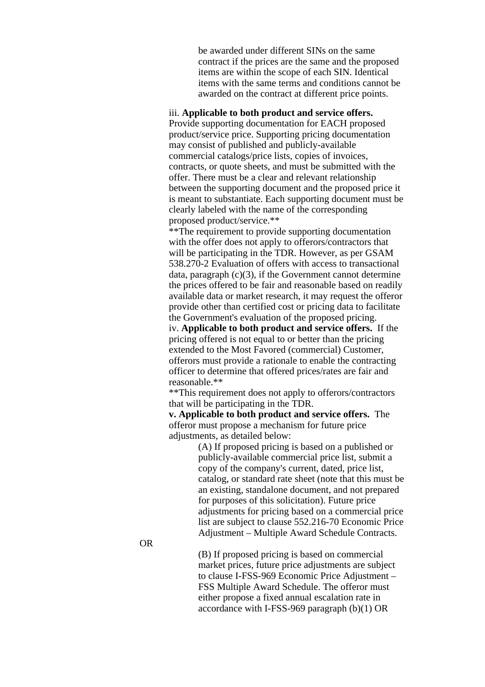be awarded under different SINs on the same contract if the prices are the same and the proposed items are within the scope of each SIN. Identical items with the same terms and conditions cannot be awarded on the contract at different price points.

## iii. **Applicable to both product and service offers.**

Provide supporting documentation for EACH proposed product/service price. Supporting pricing documentation may consist of published and publicly-available commercial catalogs/price lists, copies of invoices, contracts, or quote sheets, and must be submitted with the offer. There must be a clear and relevant relationship between the supporting document and the proposed price it is meant to substantiate. Each supporting document must be clearly labeled with the name of the corresponding proposed product/service.\*\*

\*\*The requirement to provide supporting documentation with the offer does not apply to offerors/contractors that will be participating in the TDR. However, as per GSAM 538.270-2 Evaluation of offers with access to transactional data, paragraph (c)(3), if the Government cannot determine the prices offered to be fair and reasonable based on readily available data or market research, it may request the offeror provide other than certified cost or pricing data to facilitate the Government's evaluation of the proposed pricing.

iv. **Applicable to both product and service offers.** If the pricing offered is not equal to or better than the pricing extended to the Most Favored (commercial) Customer, offerors must provide a rationale to enable the contracting officer to determine that offered prices/rates are fair and reasonable.\*\*

\*\*This requirement does not apply to offerors/contractors that will be participating in the TDR.

**v. Applicable to both product and service offers.** The offeror must propose a mechanism for future price adjustments, as detailed below:

(A) If proposed pricing is based on a published or publicly-available commercial price list, submit a copy of the company's current, dated, price list, catalog, or standard rate sheet (note that this must be an existing, standalone document, and not prepared for purposes of this solicitation). Future price adjustments for pricing based on a commercial price list are subject to clause 552.216-70 Economic Price Adjustment – Multiple Award Schedule Contracts.

OR

(B) If proposed pricing is based on commercial market prices, future price adjustments are subject to clause I-FSS-969 Economic Price Adjustment – FSS Multiple Award Schedule. The offeror must either propose a fixed annual escalation rate in accordance with I-FSS-969 paragraph (b)(1) OR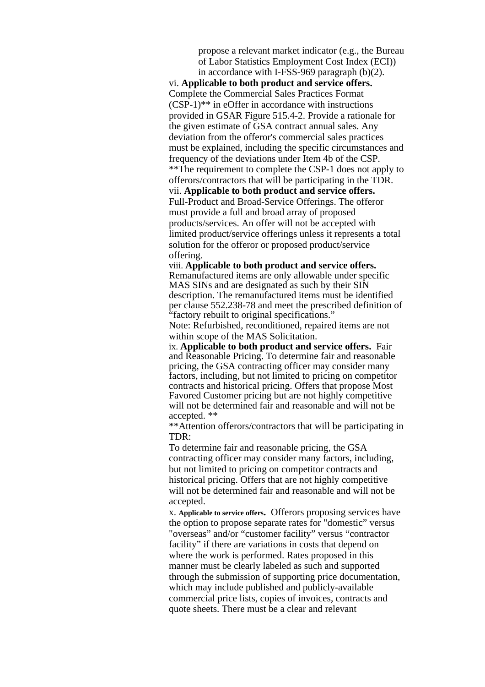propose a relevant market indicator (e.g., the Bureau of Labor Statistics Employment Cost Index (ECI)) in accordance with I-FSS-969 paragraph (b)(2).

vi. **Applicable to both product and service offers.** Complete the Commercial Sales Practices Format (CSP-1)\*\* in eOffer in accordance with instructions provided in GSAR Figure 515.4-2. Provide a rationale for the given estimate of GSA contract annual sales. Any deviation from the offeror's commercial sales practices must be explained, including the specific circumstances and frequency of the deviations under Item 4b of the CSP. \*\*The requirement to complete the CSP-1 does not apply to offerors/contractors that will be participating in the TDR. vii. **Applicable to both product and service offers.** Full-Product and Broad-Service Offerings. The offeror must provide a full and broad array of proposed products/services. An offer will not be accepted with limited product/service offerings unless it represents a total solution for the offeror or proposed product/service offering.

viii. **Applicable to both product and service offers.** Remanufactured items are only allowable under specific MAS SINs and are designated as such by their SIN description. The remanufactured items must be identified per clause 552.238-78 and meet the prescribed definition of "factory rebuilt to original specifications."

Note: Refurbished, reconditioned, repaired items are not within scope of the MAS Solicitation.

ix. **Applicable to both product and service offers.** Fair and Reasonable Pricing. To determine fair and reasonable pricing, the GSA contracting officer may consider many factors, including, but not limited to pricing on competitor contracts and historical pricing. Offers that propose Most Favored Customer pricing but are not highly competitive will not be determined fair and reasonable and will not be accepted. \*\*

\*\*Attention offerors/contractors that will be participating in TDR:

To determine fair and reasonable pricing, the GSA contracting officer may consider many factors, including, but not limited to pricing on competitor contracts and historical pricing. Offers that are not highly competitive will not be determined fair and reasonable and will not be accepted.

x. **Applicable to service offers.** Offerors proposing services have the option to propose separate rates for "domestic" versus "overseas" and/or "customer facility" versus "contractor facility" if there are variations in costs that depend on where the work is performed. Rates proposed in this manner must be clearly labeled as such and supported through the submission of supporting price documentation, which may include published and publicly-available commercial price lists, copies of invoices, contracts and quote sheets. There must be a clear and relevant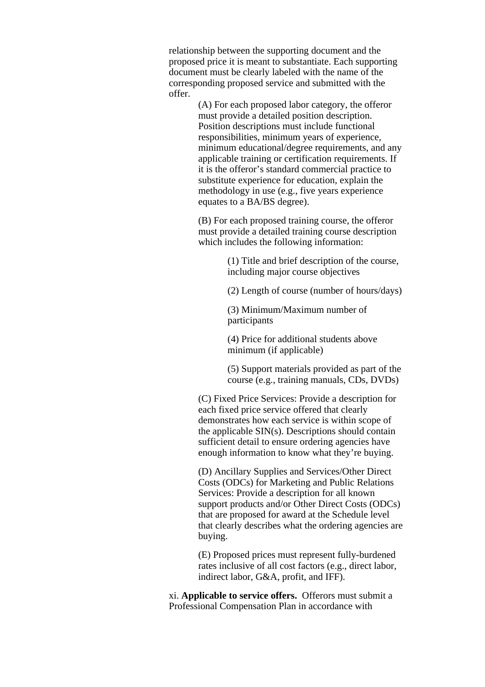relationship between the supporting document and the proposed price it is meant to substantiate. Each supporting document must be clearly labeled with the name of the corresponding proposed service and submitted with the offer.

> (A) For each proposed labor category, the offeror must provide a detailed position description. Position descriptions must include functional responsibilities, minimum years of experience, minimum educational/degree requirements, and any applicable training or certification requirements. If it is the offeror's standard commercial practice to substitute experience for education, explain the methodology in use (e.g., five years experience equates to a BA/BS degree).

(B) For each proposed training course, the offeror must provide a detailed training course description which includes the following information:

> (1) Title and brief description of the course, including major course objectives

(2) Length of course (number of hours/days)

(3) Minimum/Maximum number of participants

(4) Price for additional students above minimum (if applicable)

(5) Support materials provided as part of the course (e.g., training manuals, CDs, DVDs)

(C) Fixed Price Services: Provide a description for each fixed price service offered that clearly demonstrates how each service is within scope of the applicable SIN(s). Descriptions should contain sufficient detail to ensure ordering agencies have enough information to know what they're buying.

(D) Ancillary Supplies and Services/Other Direct Costs (ODCs) for Marketing and Public Relations Services: Provide a description for all known support products and/or Other Direct Costs (ODCs) that are proposed for award at the Schedule level that clearly describes what the ordering agencies are buying.

(E) Proposed prices must represent fully-burdened rates inclusive of all cost factors (e.g., direct labor, indirect labor, G&A, profit, and IFF).

xi. **Applicable to service offers.** Offerors must submit a Professional Compensation Plan in accordance with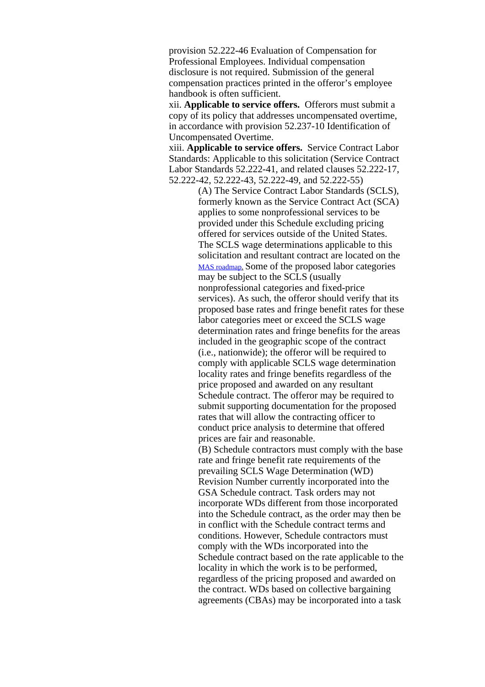provision 52.222-46 Evaluation of Compensation for Professional Employees. Individual compensation disclosure is not required. Submission of the general compensation practices printed in the offeror's employee handbook is often sufficient.

xii. **Applicable to service offers.** Offerors must submit a copy of its policy that addresses uncompensated overtime, in accordance with provision 52.237-10 Identification of Uncompensated Overtime.

xiii. **Applicable to service offers.** Service Contract Labor Standards: Applicable to this solicitation (Service Contract Labor Standards 52.222-41, and related clauses 52.222-17, 52.222-42, 52.222-43, 52.222-49, and 52.222-55)

> (A) The Service Contract Labor Standards (SCLS), formerly known as the Service Contract Act (SCA) applies to some nonprofessional services to be provided under this Schedule excluding pricing offered for services outside of the United States. The SCLS wage determinations applicable to this solicitation and resultant contract are located on the MAS [roadmap](https://www.gsa.gov/mascategoryrequirements). Some of the proposed labor categories may be subject to the SCLS (usually nonprofessional categories and fixed-price services). As such, the offeror should verify that its proposed base rates and fringe benefit rates for these labor categories meet or exceed the SCLS wage determination rates and fringe benefits for the areas included in the geographic scope of the contract (i.e., nationwide); the offeror will be required to comply with applicable SCLS wage determination locality rates and fringe benefits regardless of the price proposed and awarded on any resultant Schedule contract. The offeror may be required to submit supporting documentation for the proposed rates that will allow the contracting officer to conduct price analysis to determine that offered prices are fair and reasonable.

> (B) Schedule contractors must comply with the base rate and fringe benefit rate requirements of the prevailing SCLS Wage Determination (WD) Revision Number currently incorporated into the GSA Schedule contract. Task orders may not incorporate WDs different from those incorporated into the Schedule contract, as the order may then be in conflict with the Schedule contract terms and conditions. However, Schedule contractors must comply with the WDs incorporated into the Schedule contract based on the rate applicable to the locality in which the work is to be performed, regardless of the pricing proposed and awarded on the contract. WDs based on collective bargaining agreements (CBAs) may be incorporated into a task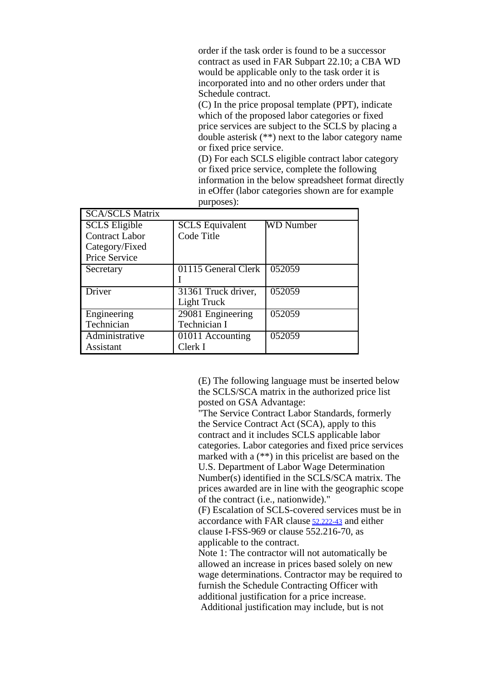order if the task order is found to be a successor contract as used in FAR Subpart 22.10; a CBA WD would be applicable only to the task order it is incorporated into and no other orders under that Schedule contract.

(C) In the price proposal template (PPT), indicate which of the proposed labor categories or fixed price services are subject to the SCLS by placing a double asterisk (\*\*) next to the labor category name or fixed price service.

(D) For each SCLS eligible contract labor category or fixed price service, complete the following information in the below spreadsheet format directly in eOffer (labor categories shown are for example purposes):

| <b>SCA/SCLS Matrix</b> |                        |                  |
|------------------------|------------------------|------------------|
| <b>SCLS</b> Eligible   | <b>SCLS</b> Equivalent | <b>WD</b> Number |
| <b>Contract Labor</b>  | Code Title             |                  |
| Category/Fixed         |                        |                  |
| Price Service          |                        |                  |
| Secretary              | 01115 General Clerk    | 052059           |
|                        |                        |                  |
| Driver                 | 31361 Truck driver,    | 052059           |
|                        | Light Truck            |                  |
| Engineering            | 29081 Engineering      | 052059           |
| Technician             | Technician I           |                  |
| Administrative         | 01011 Accounting       | 052059           |
| Assistant              | Clerk I                |                  |

(E) The following language must be inserted below the SCLS/SCA matrix in the authorized price list posted on GSA Advantage:

"The Service Contract Labor Standards, formerly the Service Contract Act (SCA), apply to this contract and it includes SCLS applicable labor categories. Labor categories and fixed price services marked with a (\*\*) in this pricelist are based on the U.S. Department of Labor Wage Determination Number(s) identified in the SCLS/SCA matrix. The prices awarded are in line with the geographic scope of the contract (i.e., nationwide)."

(F) Escalation of SCLS-covered services must be in accordance with FAR [clause](https://www.acquisition.gov/far/current/html/52_222.html#wp1148260) 52.222-43 and either clause I-FSS-969 or clause 552.216-70, as applicable to the contract.

Note 1: The contractor will not automatically be allowed an increase in prices based solely on new wage determinations. Contractor may be required to furnish the Schedule Contracting Officer with additional justification for a price increase. Additional justification may include, but is not